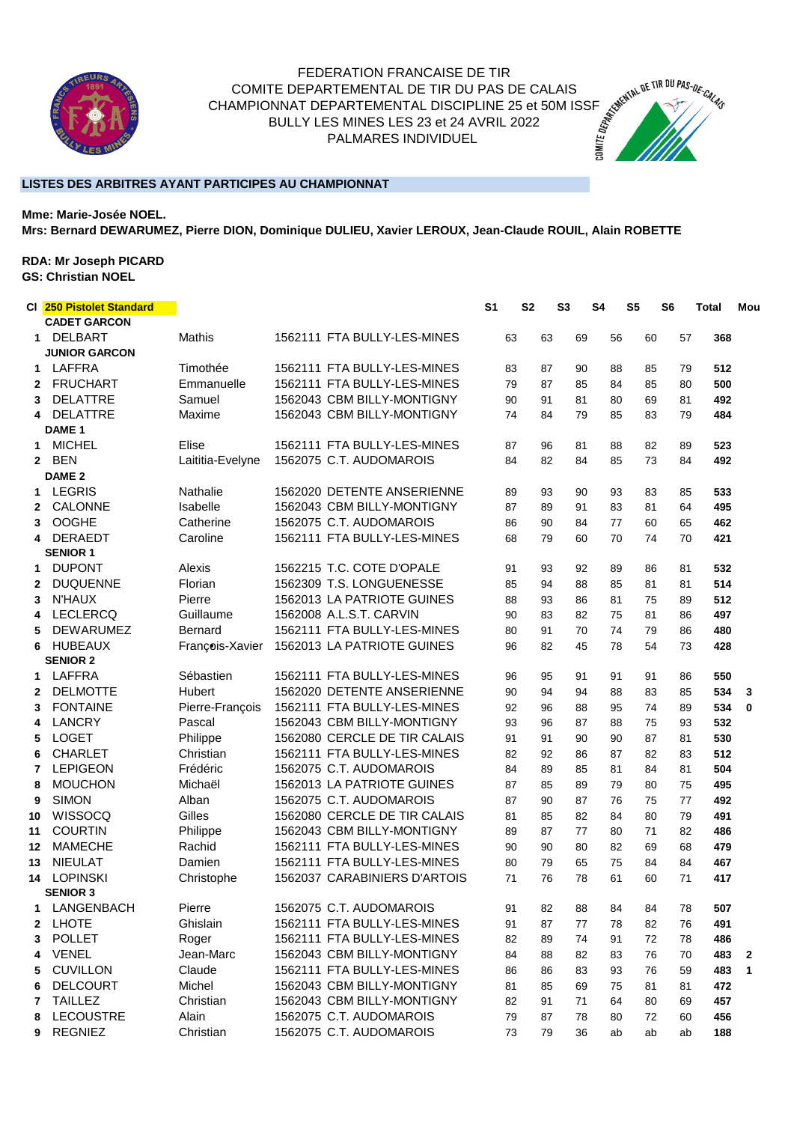

## FEDERATION FRANCAISE DE TIR COMITE DEPARTEMENTAL DE TIR DU PAS DE CALAIS CHAMPIONNAT DEPARTEMENTAL DE TIR DU PAS DE CALAIS<br>CHAMPIONNAT DEPARTEMENTAL DISCIPLINE 25 et 50M ISSF<br>BULLY LES MINES LES 23 et 24 AVRIL 2022<br>PALMARES INDIVIDUEL BULLY LES MINES LES 23 et 24 AVRIL 2022 PALMARES INDIVIDUEL



## **LISTES DES ARBITRES AYANT PARTICIPES AU CHAMPIONNAT**

**Mme: Marie-Josée NOEL. Mrs: Bernard DEWARUMEZ, Pierre DION, Dominique DULIEU, Xavier LEROUX, Jean-Claude ROUIL, Alain ROBETTE**

## **RDA: Mr Joseph PICARD GS: Christian NOEL**

|              | CI 250 Pistolet Standard<br><b>CADET GARCON</b> |                  |                              | S <sub>1</sub> | S <sub>2</sub> | <b>S3</b> |    | S <sub>4</sub> | S <sub>5</sub> | S6 | <b>Total</b> | Mou          |
|--------------|-------------------------------------------------|------------------|------------------------------|----------------|----------------|-----------|----|----------------|----------------|----|--------------|--------------|
| 1            | <b>DELBART</b><br><b>JUNIOR GARCON</b>          | <b>Mathis</b>    | 1562111 FTA BULLY-LES-MINES  |                | 63             | 63        | 69 | 56             | 60             | 57 | 368          |              |
| 1.           | <b>LAFFRA</b>                                   | Timothée         | 1562111 FTA BULLY-LES-MINES  |                | 83             | 87        | 90 | 88             | 85             | 79 | 512          |              |
| 2            | <b>FRUCHART</b>                                 | Emmanuelle       | 1562111 FTA BULLY-LES-MINES  |                | 79             | 87        | 85 | 84             | 85             | 80 | 500          |              |
| 3            | <b>DELATTRE</b>                                 | Samuel           | 1562043 CBM BILLY-MONTIGNY   |                | 90             | 91        | 81 | 80             | 69             | 81 | 492          |              |
| 4            | <b>DELATTRE</b>                                 | Maxime           | 1562043 CBM BILLY-MONTIGNY   |                | 74             | 84        | 79 | 85             | 83             | 79 | 484          |              |
|              | DAME <sub>1</sub>                               |                  |                              |                |                |           |    |                |                |    |              |              |
| 1            | <b>MICHEL</b>                                   | Elise            | 1562111 FTA BULLY-LES-MINES  |                | 87             | 96        | 81 | 88             | 82             | 89 | 523          |              |
| $\mathbf{2}$ | <b>BEN</b>                                      | Laititia-Evelyne | 1562075 C.T. AUDOMAROIS      |                | 84             | 82        | 84 | 85             | 73             | 84 | 492          |              |
|              | DAME <sub>2</sub>                               |                  |                              |                |                |           |    |                |                |    |              |              |
| 1            | <b>LEGRIS</b>                                   | Nathalie         | 1562020 DETENTE ANSERIENNE   |                | 89             | 93        | 90 | 93             | 83             | 85 | 533          |              |
| 2            | CALONNE                                         | Isabelle         | 1562043 CBM BILLY-MONTIGNY   |                | 87             | 89        | 91 | 83             | 81             | 64 | 495          |              |
| 3            | <b>OOGHE</b>                                    | Catherine        | 1562075 C.T. AUDOMAROIS      |                | 86             | 90        | 84 | 77             | 60             | 65 | 462          |              |
| 4            | <b>DERAEDT</b>                                  | Caroline         | 1562111 FTA BULLY-LES-MINES  |                | 68             | 79        | 60 | 70             | 74             | 70 | 421          |              |
|              | <b>SENIOR 1</b>                                 |                  |                              |                |                |           |    |                |                |    |              |              |
| 1            | <b>DUPONT</b>                                   | Alexis           | 1562215 T.C. COTE D'OPALE    |                | 91             | 93        | 92 | 89             | 86             | 81 | 532          |              |
| $\mathbf{2}$ | <b>DUQUENNE</b>                                 | Florian          | 1562309 T.S. LONGUENESSE     |                | 85             | 94        | 88 | 85             | 81             | 81 | 514          |              |
| 3            | <b>N'HAUX</b>                                   | Pierre           | 1562013 LA PATRIOTE GUINES   |                | 88             | 93        | 86 | 81             | 75             | 89 | 512          |              |
| 4            | <b>LECLERCQ</b>                                 | Guillaume        | 1562008 A.L.S.T. CARVIN      |                | 90             | 83        | 82 | 75             | 81             | 86 | 497          |              |
| 5            | <b>DEWARUMEZ</b>                                | <b>Bernard</b>   | 1562111 FTA BULLY-LES-MINES  |                | 80             | 91        | 70 | 74             | 79             | 86 | 480          |              |
| 6            | <b>HUBEAUX</b><br><b>SENIOR 2</b>               | François-Xavier  | 1562013 LA PATRIOTE GUINES   |                | 96             | 82        | 45 | 78             | 54             | 73 | 428          |              |
| 1.           | <b>LAFFRA</b>                                   | Sébastien        | 1562111 FTA BULLY-LES-MINES  |                | 96             | 95        | 91 | 91             | 91             | 86 | 550          |              |
| 2            | <b>DELMOTTE</b>                                 | Hubert           | 1562020 DETENTE ANSERIENNE   |                | 90             | 94        | 94 | 88             | 83             | 85 | 534          | 3            |
| 3            | <b>FONTAINE</b>                                 | Pierre-François  | 1562111 FTA BULLY-LES-MINES  |                | 92             | 96        | 88 | 95             | 74             | 89 | 534          | $\bf{0}$     |
| 4            | <b>LANCRY</b>                                   | Pascal           | 1562043 CBM BILLY-MONTIGNY   |                | 93             | 96        | 87 | 88             | 75             | 93 | 532          |              |
| 5            | <b>LOGET</b>                                    | Philippe         | 1562080 CERCLE DE TIR CALAIS |                | 91             | 91        | 90 | 90             | 87             | 81 | 530          |              |
| 6            | <b>CHARLET</b>                                  | Christian        | 1562111 FTA BULLY-LES-MINES  |                | 82             | 92        | 86 | 87             | 82             | 83 | 512          |              |
| 7            | <b>LEPIGEON</b>                                 | Frédéric         | 1562075 C.T. AUDOMAROIS      |                | 84             | 89        | 85 | 81             | 84             | 81 | 504          |              |
| 8            | <b>MOUCHON</b>                                  | Michaël          | 1562013 LA PATRIOTE GUINES   |                | 87             | 85        | 89 | 79             | 80             | 75 | 495          |              |
| 9            | <b>SIMON</b>                                    | Alban            | 1562075 C.T. AUDOMAROIS      |                | 87             | 90        | 87 | 76             | 75             | 77 | 492          |              |
| 10           | WISSOCQ                                         | Gilles           | 1562080 CERCLE DE TIR CALAIS |                | 81             | 85        | 82 | 84             | 80             | 79 | 491          |              |
| 11           | <b>COURTIN</b>                                  | Philippe         | 1562043 CBM BILLY-MONTIGNY   |                | 89             | 87        | 77 | 80             | 71             | 82 | 486          |              |
| 12           | <b>MAMECHE</b>                                  | Rachid           | 1562111 FTA BULLY-LES-MINES  |                | 90             | 90        | 80 | 82             | 69             | 68 | 479          |              |
| 13           | <b>NIEULAT</b>                                  | Damien           | 1562111 FTA BULLY-LES-MINES  |                | 80             | 79        | 65 | 75             | 84             | 84 | 467          |              |
| 14           | <b>LOPINSKI</b>                                 | Christophe       | 1562037 CARABINIERS D'ARTOIS |                | 71             | 76        | 78 | 61             | 60             | 71 | 417          |              |
|              | <b>SENIOR 3</b>                                 |                  |                              |                |                |           |    |                |                |    |              |              |
| 1.           | LANGENBACH                                      | Pierre           | 1562075 C.T. AUDOMAROIS      |                | 91             | 82        | 88 | 84             | 84             | 78 | 507          |              |
| 2            | <b>LHOTE</b>                                    | Ghislain         | 1562111 FTA BULLY-LES-MINES  |                | 91             | 87        | 77 | 78             | 82             | 76 | 491          |              |
| 3            | <b>POLLET</b>                                   | Roger            | 1562111 FTA BULLY-LES-MINES  |                | 82             | 89        | 74 | 91             | 72             | 78 | 486          |              |
| 4            | <b>VENEL</b>                                    | Jean-Marc        | 1562043 CBM BILLY-MONTIGNY   |                | 84             | 88        | 82 | 83             | 76             | 70 | 483          | $\mathbf{2}$ |
| 5            | <b>CUVILLON</b>                                 | Claude           | 1562111 FTA BULLY-LES-MINES  |                | 86             | 86        | 83 | 93             | 76             | 59 | 483          | 1            |
| 6            | DELCOURT                                        | Michel           | 1562043 CBM BILLY-MONTIGNY   |                | 81             | 85        | 69 | 75             | 81             | 81 | 472          |              |
| 7            | <b>TAILLEZ</b>                                  | Christian        | 1562043 CBM BILLY-MONTIGNY   |                | 82             | 91        | 71 | 64             | 80             | 69 | 457          |              |
| 8            | <b>LECOUSTRE</b>                                | Alain            | 1562075 C.T. AUDOMAROIS      |                | 79             | 87        | 78 | 80             | 72             | 60 | 456          |              |
| 9            | <b>REGNIEZ</b>                                  | Christian        | 1562075 C.T. AUDOMAROIS      |                | 73             | 79        | 36 | ab             | ab             | ab | 188          |              |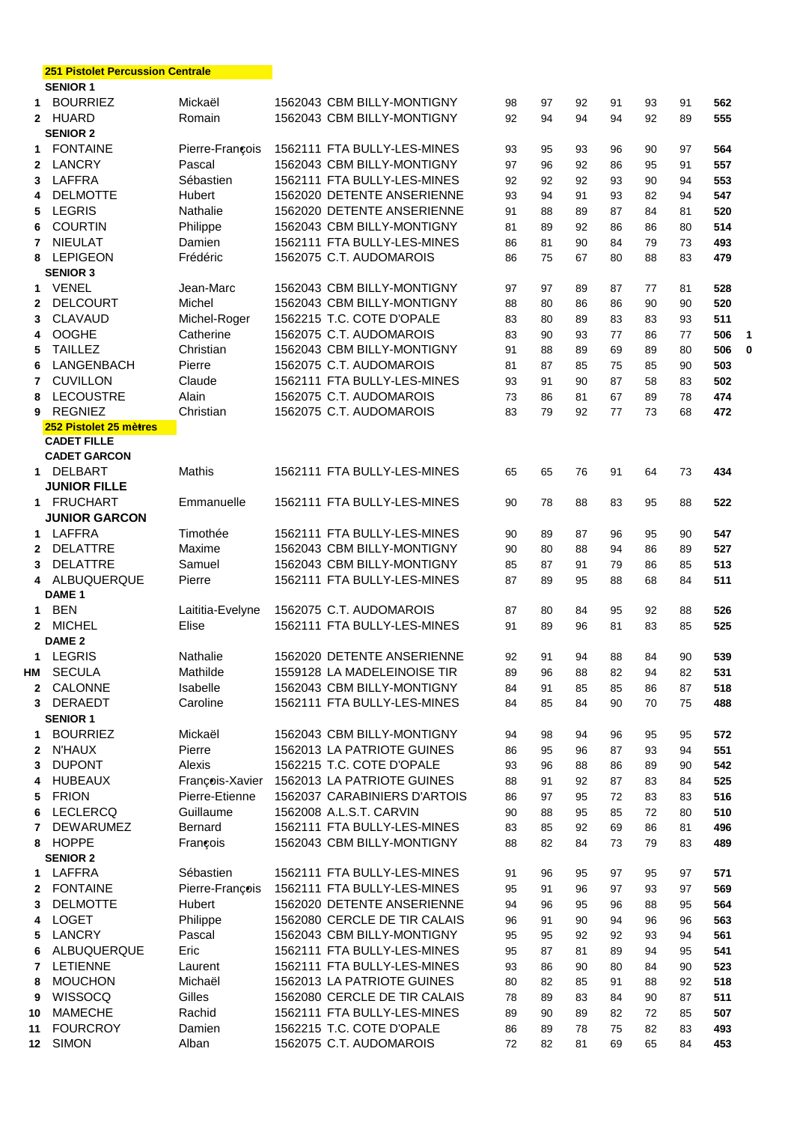|              | <u>ZII FISIOIELFEIGUSSIOII GEIILIAIE</u><br><b>SENIOR 1</b> |                    |                                                          |    |    |    |    |    |    |     |   |
|--------------|-------------------------------------------------------------|--------------------|----------------------------------------------------------|----|----|----|----|----|----|-----|---|
|              | 1 BOURRIEZ                                                  | Mickaël            | 1562043 CBM BILLY-MONTIGNY                               | 98 | 97 | 92 | 91 | 93 | 91 | 562 |   |
|              | 2 HUARD                                                     | Romain             | 1562043 CBM BILLY-MONTIGNY                               | 92 | 94 | 94 | 94 | 92 | 89 | 555 |   |
|              | <b>SENIOR 2</b>                                             |                    |                                                          |    |    |    |    |    |    |     |   |
| 1            | <b>FONTAINE</b>                                             | Pierre-François    | 1562111 FTA BULLY-LES-MINES                              | 93 | 95 | 93 | 96 | 90 | 97 | 564 |   |
|              | 2 LANCRY                                                    | Pascal             | 1562043 CBM BILLY-MONTIGNY                               | 97 | 96 | 92 | 86 | 95 | 91 | 557 |   |
|              | 3 LAFFRA                                                    | Sébastien          | 1562111 FTA BULLY-LES-MINES                              | 92 | 92 | 92 | 93 | 90 | 94 | 553 |   |
| 4            | <b>DELMOTTE</b>                                             | Hubert             | 1562020 DETENTE ANSERIENNE                               | 93 | 94 | 91 | 93 | 82 | 94 | 547 |   |
|              | 5 LEGRIS                                                    | Nathalie           | 1562020 DETENTE ANSERIENNE                               | 91 | 88 | 89 | 87 | 84 | 81 | 520 |   |
| 6            | <b>COURTIN</b>                                              | Philippe           | 1562043 CBM BILLY-MONTIGNY                               | 81 | 89 | 92 | 86 | 86 | 80 | 514 |   |
| $\mathbf{7}$ | <b>NIEULAT</b>                                              | Damien             | 1562111 FTA BULLY-LES-MINES                              | 86 | 81 | 90 | 84 | 79 | 73 | 493 |   |
|              | 8 LEPIGEON                                                  | Frédéric           | 1562075 C.T. AUDOMAROIS                                  | 86 | 75 | 67 | 80 | 88 | 83 | 479 |   |
|              | <b>SENIOR 3</b>                                             |                    |                                                          |    |    |    |    |    |    |     |   |
| $\mathbf 1$  | VENEL                                                       | Jean-Marc          | 1562043 CBM BILLY-MONTIGNY                               | 97 | 97 | 89 | 87 | 77 | 81 | 528 |   |
| $\mathbf{2}$ | <b>DELCOURT</b>                                             | Michel             | 1562043 CBM BILLY-MONTIGNY                               | 88 | 80 | 86 | 86 | 90 | 90 | 520 |   |
| 3            | CLAVAUD                                                     | Michel-Roger       | 1562215 T.C. COTE D'OPALE                                | 83 | 80 | 89 | 83 | 83 | 93 | 511 |   |
| 4            | <b>OOGHE</b>                                                | Catherine          | 1562075 C.T. AUDOMAROIS                                  | 83 | 90 | 93 | 77 | 86 | 77 | 506 | 1 |
| 5.           | <b>TAILLEZ</b>                                              | Christian          | 1562043 CBM BILLY-MONTIGNY                               | 91 | 88 | 89 | 69 | 89 | 80 | 506 | 0 |
| 6            | LANGENBACH                                                  | Pierre             | 1562075 C.T. AUDOMAROIS                                  | 81 | 87 | 85 | 75 | 85 | 90 | 503 |   |
| 7            | <b>CUVILLON</b>                                             | Claude             | 1562111 FTA BULLY-LES-MINES                              | 93 | 91 | 90 | 87 | 58 | 83 | 502 |   |
| 8            | LECOUSTRE                                                   | Alain              | 1562075 C.T. AUDOMAROIS                                  | 73 | 86 | 81 | 67 | 89 | 78 | 474 |   |
| 9            | <b>REGNIEZ</b>                                              | Christian          | 1562075 C.T. AUDOMAROIS                                  | 83 | 79 | 92 | 77 | 73 | 68 | 472 |   |
|              | 252 Pistolet 25 mètres                                      |                    |                                                          |    |    |    |    |    |    |     |   |
|              | <b>CADET FILLE</b>                                          |                    |                                                          |    |    |    |    |    |    |     |   |
|              | <b>CADET GARCON</b>                                         |                    |                                                          |    |    |    |    |    |    |     |   |
|              | 1 DELBART                                                   | <b>Mathis</b>      | 1562111 FTA BULLY-LES-MINES                              | 65 | 65 | 76 | 91 | 64 | 73 | 434 |   |
|              | <b>JUNIOR FILLE</b>                                         |                    |                                                          |    |    |    |    |    |    |     |   |
|              | 1 FRUCHART                                                  | Emmanuelle         | 1562111 FTA BULLY-LES-MINES                              | 90 | 78 | 88 | 83 | 95 | 88 | 522 |   |
|              | <b>JUNIOR GARCON</b>                                        |                    |                                                          |    |    |    |    |    |    |     |   |
|              | 1 LAFFRA                                                    | Timothée           | 1562111 FTA BULLY-LES-MINES                              | 90 | 89 | 87 | 96 | 95 | 90 | 547 |   |
|              | 2 DELATTRE                                                  | Maxime             | 1562043 CBM BILLY-MONTIGNY                               | 90 | 80 | 88 | 94 | 86 | 89 | 527 |   |
|              | 3 DELATTRE                                                  | Samuel             | 1562043 CBM BILLY-MONTIGNY                               | 85 | 87 | 91 | 79 | 86 | 85 | 513 |   |
|              | 4 ALBUQUERQUE                                               | Pierre             | 1562111 FTA BULLY-LES-MINES                              | 87 | 89 | 95 | 88 | 68 | 84 | 511 |   |
|              | DAME <sub>1</sub>                                           |                    |                                                          |    |    |    |    |    |    |     |   |
|              | 1 BEN                                                       | Laititia-Evelyne   | 1562075 C.T. AUDOMAROIS                                  | 87 | 80 | 84 | 95 | 92 | 88 | 526 |   |
|              | 2 MICHEL                                                    | Elise              | 1562111 FTA BULLY-LES-MINES                              | 91 | 89 | 96 | 81 | 83 | 85 | 525 |   |
|              | DAME <sub>2</sub>                                           |                    |                                                          |    |    |    |    |    |    |     |   |
|              | 1 LEGRIS                                                    | Nathalie           | 1562020 DETENTE ANSERIENNE                               | 92 | 91 | 94 | 88 | 84 | 90 | 539 |   |
|              | HM SECULA                                                   | Mathilde           | 1559128 LA MADELEINOISE TIR                              | 89 | 96 | 88 | 82 | 94 | 82 | 531 |   |
| $\mathbf{2}$ | CALONNE                                                     | Isabelle           | 1562043 CBM BILLY-MONTIGNY                               | 84 | 91 | 85 | 85 | 86 | 87 | 518 |   |
|              | 3 DERAEDT                                                   | Caroline           | 1562111 FTA BULLY-LES-MINES                              | 84 | 85 | 84 | 90 | 70 | 75 | 488 |   |
|              | <b>SENIOR 1</b>                                             |                    |                                                          |    |    |    |    |    |    |     |   |
| 1.           | <b>BOURRIEZ</b>                                             | Mickaël            | 1562043 CBM BILLY-MONTIGNY                               | 94 | 98 | 94 | 96 | 95 | 95 | 572 |   |
| $\mathbf{2}$ | <b>N'HAUX</b>                                               | Pierre             | 1562013 LA PATRIOTE GUINES                               | 86 | 95 | 96 | 87 | 93 | 94 | 551 |   |
| 3            | <b>DUPONT</b>                                               | Alexis             | 1562215 T.C. COTE D'OPALE                                | 93 | 96 | 88 | 86 | 89 | 90 | 542 |   |
| 4            | <b>HUBEAUX</b>                                              | François-Xavier    | 1562013 LA PATRIOTE GUINES                               | 88 | 91 | 92 | 87 | 83 | 84 | 525 |   |
| 5            | <b>FRION</b>                                                | Pierre-Etienne     | 1562037 CARABINIERS D'ARTOIS                             | 86 | 97 | 95 | 72 | 83 | 83 | 516 |   |
| 6            | <b>LECLERCQ</b>                                             | Guillaume          | 1562008 A.L.S.T. CARVIN                                  | 90 | 88 | 95 | 85 | 72 | 80 | 510 |   |
| 7            | <b>DEWARUMEZ</b>                                            | Bernard            | 1562111 FTA BULLY-LES-MINES                              | 83 | 85 | 92 | 69 | 86 | 81 | 496 |   |
| 8            | <b>HOPPE</b>                                                | François           | 1562043 CBM BILLY-MONTIGNY                               | 88 | 82 | 84 | 73 | 79 | 83 | 489 |   |
|              | <b>SENIOR 2</b>                                             |                    |                                                          |    |    |    |    |    |    |     |   |
| 1            | LAFFRA                                                      | Sébastien          | 1562111 FTA BULLY-LES-MINES                              | 91 | 96 | 95 | 97 | 95 | 97 | 571 |   |
| $\mathbf{2}$ | <b>FONTAINE</b>                                             | Pierre-François    | 1562111 FTA BULLY-LES-MINES                              | 95 | 91 | 96 | 97 | 93 | 97 | 569 |   |
| 3            | <b>DELMOTTE</b>                                             | Hubert             | 1562020 DETENTE ANSERIENNE                               | 94 | 96 | 95 | 96 | 88 | 95 | 564 |   |
| 4            | <b>LOGET</b>                                                | Philippe           | 1562080 CERCLE DE TIR CALAIS                             | 96 | 91 | 90 | 94 | 96 | 96 | 563 |   |
| 5.           | LANCRY                                                      | Pascal             | 1562043 CBM BILLY-MONTIGNY                               | 95 | 95 | 92 | 92 | 93 | 94 | 561 |   |
|              | ALBUQUERQUE                                                 | Eric               | 1562111 FTA BULLY-LES-MINES                              | 95 | 87 | 81 |    | 94 | 95 | 541 |   |
| 6            | LETIENNE                                                    |                    | 1562111 FTA BULLY-LES-MINES                              | 93 | 86 |    | 89 | 84 | 90 | 523 |   |
| $\mathbf{7}$ | <b>MOUCHON</b>                                              | Laurent<br>Michaël | 1562013 LA PATRIOTE GUINES                               | 80 |    | 90 | 80 |    |    |     |   |
| 8            |                                                             |                    |                                                          |    | 82 | 85 | 91 | 88 | 92 | 518 |   |
| 9            | <b>WISSOCQ</b>                                              | Gilles             | 1562080 CERCLE DE TIR CALAIS                             | 78 | 89 | 83 | 84 | 90 | 87 | 511 |   |
| 10           | <b>MAMECHE</b>                                              | Rachid             | 1562111 FTA BULLY-LES-MINES<br>1562215 T.C. COTE D'OPALE | 89 | 90 | 89 | 82 | 72 | 85 | 507 |   |
| 11           | <b>FOURCROY</b>                                             | Damien             |                                                          | 86 | 89 | 78 | 75 | 82 | 83 | 493 |   |
| 12           | <b>SIMON</b>                                                | Alban              | 1562075 C.T. AUDOMAROIS                                  | 72 | 82 | 81 | 69 | 65 | 84 | 453 |   |

**251 Pistolet Percussion Centrale**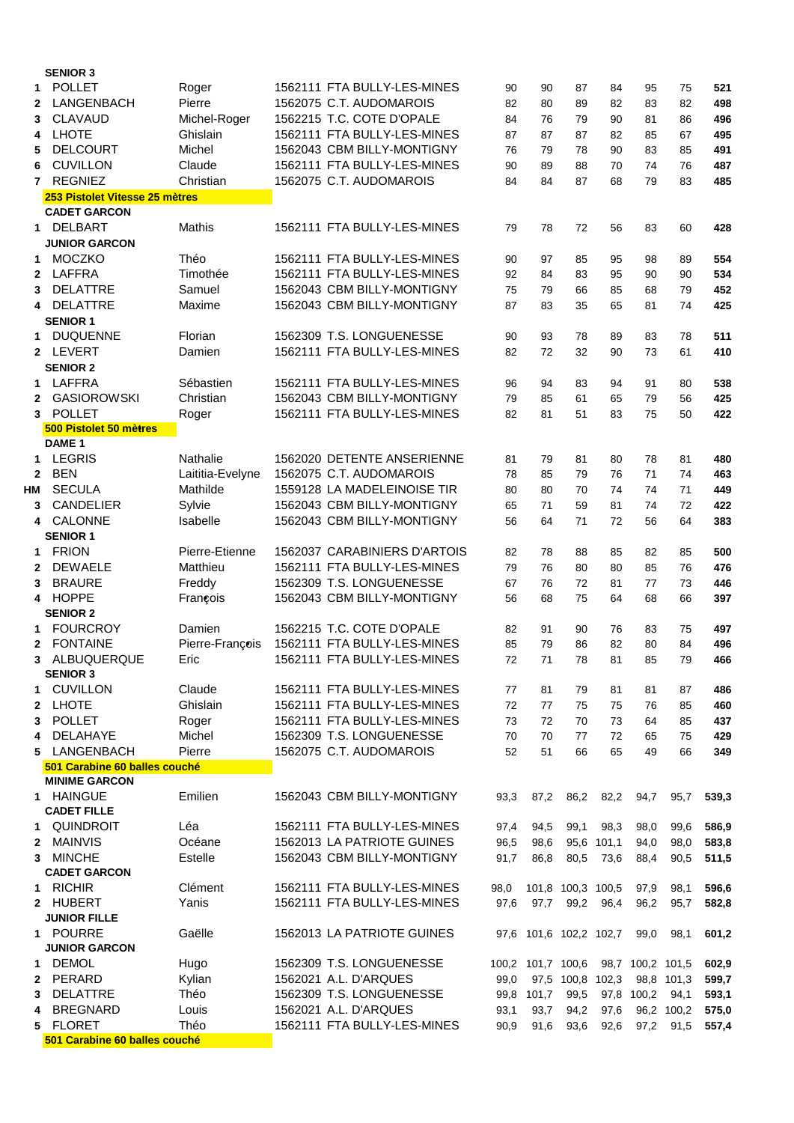|                | <b>SENIOR 3</b>                |                  |                              |      |                   |                        |            |                  |            |       |
|----------------|--------------------------------|------------------|------------------------------|------|-------------------|------------------------|------------|------------------|------------|-------|
| 1              | <b>POLLET</b>                  | Roger            | 1562111 FTA BULLY-LES-MINES  | 90   | 90                | 87                     | 84         | 95               | 75         | 521   |
| 2              | LANGENBACH                     | Pierre           | 1562075 C.T. AUDOMAROIS      | 82   | 80                | 89                     | 82         | 83               | 82         | 498   |
| 3              | <b>CLAVAUD</b>                 | Michel-Roger     | 1562215 T.C. COTE D'OPALE    | 84   | 76                | 79                     | 90         | 81               | 86         | 496   |
| 4              | <b>LHOTE</b>                   | Ghislain         | 1562111 FTA BULLY-LES-MINES  | 87   | 87                | 87                     | 82         | 85               | 67         | 495   |
| 5              | <b>DELCOURT</b>                | Michel           | 1562043 CBM BILLY-MONTIGNY   | 76   | 79                | 78                     | 90         | 83               | 85         | 491   |
| 6              | <b>CUVILLON</b>                | Claude           | 1562111 FTA BULLY-LES-MINES  | 90   | 89                | 88                     | 70         | 74               | 76         | 487   |
| $\overline{7}$ | <b>REGNIEZ</b>                 | Christian        | 1562075 C.T. AUDOMAROIS      | 84   | 84                | 87                     | 68         | 79               | 83         | 485   |
|                | 253 Pistolet Vitesse 25 mètres |                  |                              |      |                   |                        |            |                  |            |       |
|                | <b>CADET GARCON</b>            |                  |                              |      |                   |                        |            |                  |            |       |
|                | 1 DELBART                      | <b>Mathis</b>    | 1562111 FTA BULLY-LES-MINES  | 79   | 78                | 72                     | 56         | 83               | 60         | 428   |
|                | <b>JUNIOR GARCON</b>           |                  |                              |      |                   |                        |            |                  |            |       |
| 1.             | <b>MOCZKO</b>                  | Théo             | 1562111 FTA BULLY-LES-MINES  | 90   | 97                | 85                     | 95         | 98               | 89         | 554   |
| $\mathbf{2}$   | LAFFRA                         | Timothée         | 1562111 FTA BULLY-LES-MINES  | 92   | 84                | 83                     | 95         | 90               | 90         | 534   |
| 3              | <b>DELATTRE</b>                | Samuel           | 1562043 CBM BILLY-MONTIGNY   | 75   | 79                | 66                     | 85         | 68               | 79         | 452   |
|                | <b>DELATTRE</b>                | Maxime           | 1562043 CBM BILLY-MONTIGNY   | 87   | 83                | 35                     | 65         | 81               | 74         | 425   |
|                | <b>SENIOR 1</b>                |                  |                              |      |                   |                        |            |                  |            |       |
| 1              | <b>DUQUENNE</b>                | Florian          | 1562309 T.S. LONGUENESSE     | 90   | 93                | 78                     | 89         | 83               | 78         | 511   |
|                | 2 LEVERT                       | Damien           | 1562111 FTA BULLY-LES-MINES  | 82   | 72                | 32                     | 90         | 73               | 61         | 410   |
|                | <b>SENIOR 2</b>                |                  |                              |      |                   |                        |            |                  |            |       |
|                | 1 LAFFRA                       | Sébastien        | 1562111 FTA BULLY-LES-MINES  | 96   | 94                | 83                     | 94         | 91               | 80         | 538   |
|                | 2 GASIOROWSKI                  | Christian        | 1562043 CBM BILLY-MONTIGNY   | 79   | 85                | 61                     | 65         | 79               | 56         | 425   |
| 3              | <b>POLLET</b>                  | Roger            | 1562111 FTA BULLY-LES-MINES  | 82   | 81                | 51                     | 83         | 75               | 50         | 422   |
|                | 500 Pistolet 50 mètres         |                  |                              |      |                   |                        |            |                  |            |       |
|                | DAME <sub>1</sub>              |                  |                              |      |                   |                        |            |                  |            |       |
|                | 1 LEGRIS                       | Nathalie         | 1562020 DETENTE ANSERIENNE   | 81   | 79                | 81                     | 80         | 78               | 81         | 480   |
| $\mathbf{2}$   | <b>BEN</b>                     | Laititia-Evelyne | 1562075 C.T. AUDOMAROIS      | 78   | 85                | 79                     | 76         | 71               | 74         | 463   |
| НM             | <b>SECULA</b>                  | Mathilde         | 1559128 LA MADELEINOISE TIR  | 80   | 80                | 70                     | 74         | 74               | 71         | 449   |
| 3              | CANDELIER                      | Sylvie           | 1562043 CBM BILLY-MONTIGNY   | 65   | 71                | 59                     | 81         | 74               | 72         | 422   |
|                | CALONNE                        | Isabelle         | 1562043 CBM BILLY-MONTIGNY   | 56   | 64                | 71                     | 72         | 56               | 64         | 383   |
|                | <b>SENIOR 1</b>                |                  |                              |      |                   |                        |            |                  |            |       |
| 1              | <b>FRION</b>                   | Pierre-Etienne   | 1562037 CARABINIERS D'ARTOIS | 82   | 78                | 88                     | 85         | 82               | 85         | 500   |
| $\mathbf{2}$   | <b>DEWAELE</b>                 | Matthieu         | 1562111 FTA BULLY-LES-MINES  | 79   | 76                | 80                     | 80         | 85               | 76         | 476   |
| 3              | <b>BRAURE</b>                  | Freddy           | 1562309 T.S. LONGUENESSE     | 67   | 76                | 72                     | 81         | 77               | 73         | 446   |
|                | 4 HOPPE<br><b>SENIOR 2</b>     | François         | 1562043 CBM BILLY-MONTIGNY   | 56   | 68                | 75                     | 64         | 68               | 66         | 397   |
| 1              | <b>FOURCROY</b>                | Damien           | 1562215 T.C. COTE D'OPALE    | 82   | 91                | 90                     | 76         |                  |            | 497   |
| $\mathbf{2}$   | <b>FONTAINE</b>                | Pierre-François  | 1562111 FTA BULLY-LES-MINES  | 85   | 79                | 86                     | 82         | 83<br>80         | 75<br>84   | 496   |
| 3              | ALBUQUERQUE                    | Eric             | 1562111 FTA BULLY-LES-MINES  | 72   | 71                |                        | 81         | 85               | 79         | 466   |
|                | <b>SENIOR 3</b>                |                  |                              |      |                   | 78                     |            |                  |            |       |
|                | <b>CUVILLON</b>                | Claude           | 1562111 FTA BULLY-LES-MINES  | 77   | 81                | 79                     | 81         | 81               | 87         | 486   |
| 2              | <b>LHOTE</b>                   | Ghislain         | 1562111 FTA BULLY-LES-MINES  | 72   | 77                | 75                     | 75         | 76               | 85         | 460   |
| 3              | <b>POLLET</b>                  | Roger            | 1562111 FTA BULLY-LES-MINES  | 73   | 72                | 70                     | 73         | 64               | 85         | 437   |
| 4              | DELAHAYE                       | Michel           | 1562309 T.S. LONGUENESSE     | 70   | 70                | 77                     | 72         | 65               | 75         | 429   |
| 5              | LANGENBACH                     | Pierre           | 1562075 C.T. AUDOMAROIS      | 52   | 51                | 66                     | 65         | 49               | 66         | 349   |
|                | 501 Carabine 60 balles couché  |                  |                              |      |                   |                        |            |                  |            |       |
|                | <b>MINIME GARCON</b>           |                  |                              |      |                   |                        |            |                  |            |       |
|                | 1 HAINGUE                      | Emilien          | 1562043 CBM BILLY-MONTIGNY   | 93,3 | 87,2              |                        | 86,2 82,2  | 94,7             | 95,7       | 539,3 |
|                | <b>CADET FILLE</b>             |                  |                              |      |                   |                        |            |                  |            |       |
|                | 1 QUINDROIT                    | Léa              | 1562111 FTA BULLY-LES-MINES  | 97,4 | 94,5              | 99,1                   | 98,3       | 98,0             | 99,6       | 586,9 |
| $\mathbf{2}$   | MAINVIS                        | Océane           | 1562013 LA PATRIOTE GUINES   | 96,5 | 98,6              |                        | 95,6 101,1 | 94,0             | 98,0       | 583,8 |
|                | 3 MINCHE                       | Estelle          | 1562043 CBM BILLY-MONTIGNY   | 91,7 | 86,8              | 80,5                   | 73,6       | 88,4             | 90,5       | 511,5 |
|                | <b>CADET GARCON</b>            |                  |                              |      |                   |                        |            |                  |            |       |
|                | 1 RICHIR                       | Clément          | 1562111 FTA BULLY-LES-MINES  | 98,0 |                   | 101,8 100,3 100,5      |            | 97,9             | 98,1       | 596,6 |
|                | 2 HUBERT                       | Yanis            | 1562111 FTA BULLY-LES-MINES  | 97,6 | 97,7              |                        | 99,2 96,4  | 96,2             | 95,7       | 582,8 |
|                | <b>JUNIOR FILLE</b>            |                  |                              |      |                   |                        |            |                  |            |       |
|                | 1 POURRE                       | Gaëlle           | 1562013 LA PATRIOTE GUINES   |      |                   | 97,6 101,6 102,2 102,7 |            | 99,0             | 98,1       | 601,2 |
|                | <b>JUNIOR GARCON</b>           |                  |                              |      |                   |                        |            |                  |            |       |
| 1.             | DEMOL                          | Hugo             | 1562309 T.S. LONGUENESSE     |      | 100,2 101,7 100,6 |                        |            | 98,7 100,2 101,5 |            | 602,9 |
| $\mathbf{2}$   | PERARD                         | Kylian           | 1562021 A.L. D'ARQUES        | 99,0 |                   | 97,5 100,8 102,3       |            |                  | 98,8 101,3 | 599,7 |
| 3              | <b>DELATTRE</b>                | Théo             | 1562309 T.S. LONGUENESSE     |      | 99,8 101,7        | 99,5                   |            | 97,8 100,2       | 94,1       | 593,1 |
| 4              | <b>BREGNARD</b>                | Louis            | 1562021 A.L. D'ARQUES        | 93,1 | 93,7              | 94,2                   | 97,6       |                  | 96,2 100,2 | 575,0 |
| 5              | <b>FLORET</b>                  | Théo             | 1562111 FTA BULLY-LES-MINES  | 90,9 | 91,6              | 93,6                   | 92,6       | 97,2             | 91,5       | 557,4 |
|                | 501 Carabine 60 balles couché  |                  |                              |      |                   |                        |            |                  |            |       |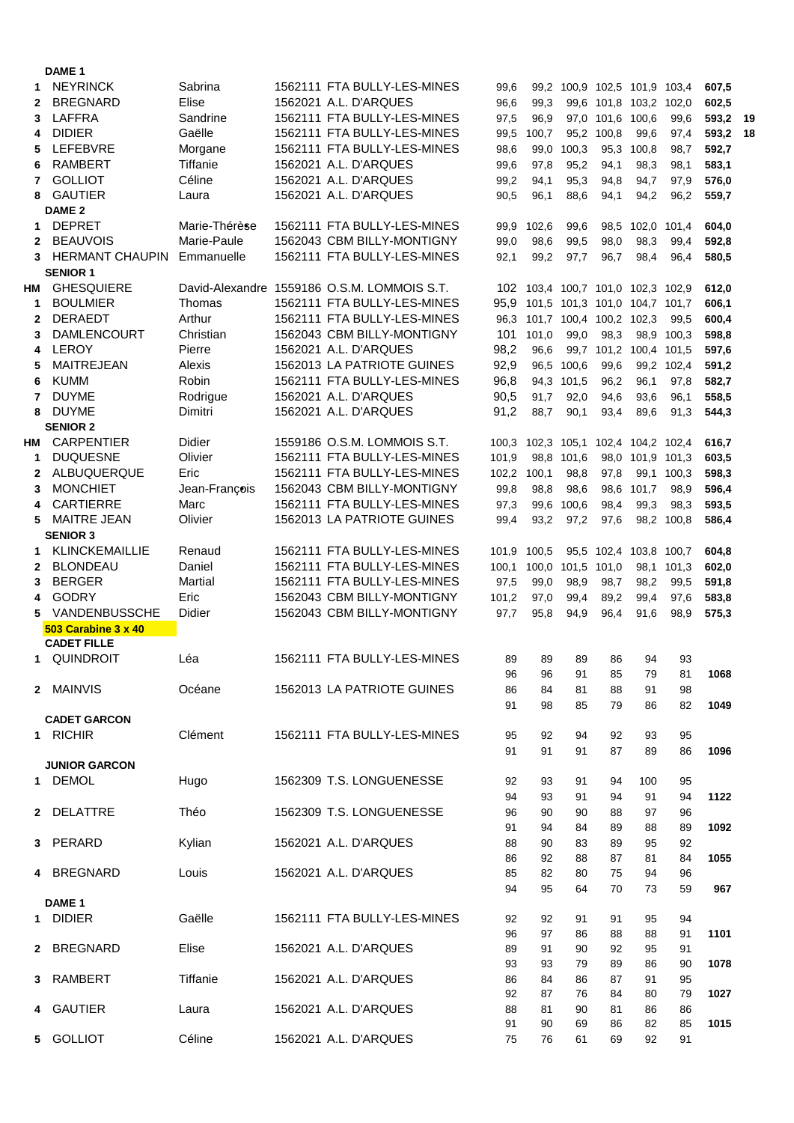| 1            | <b>NEYRINCK</b>            | Sabrina       | 1562111 FTA BULLY-LES-MINES                 | 99,6     |                                     | 99,2 100,9 102,5 101,9 103,4 |                        |                  |            | 607,5 |    |
|--------------|----------------------------|---------------|---------------------------------------------|----------|-------------------------------------|------------------------------|------------------------|------------------|------------|-------|----|
| $\mathbf{2}$ | <b>BREGNARD</b>            | Elise         | 1562021 A.L. D'ARQUES                       | 96,6     | 99,3                                |                              | 99,6 101,8 103,2 102,0 |                  |            | 602,5 |    |
| 3            | LAFFRA                     | Sandrine      | 1562111 FTA BULLY-LES-MINES                 | 97,5     | 96,9                                |                              | 97,0 101,6 100,6       |                  | 99,6       | 593,2 | 19 |
| 4            | <b>DIDIER</b>              | Gaëlle        | 1562111 FTA BULLY-LES-MINES                 | 99,5     | 100,7                               |                              | 95,2 100,8             | 99,6             | 97,4       | 593,2 | 18 |
| 5            | LEFEBVRE                   | Morgane       | 1562111 FTA BULLY-LES-MINES                 | 98,6     | 99.0                                | 100,3                        |                        | 95,3 100,8       | 98,7       | 592,7 |    |
| 6            | <b>RAMBERT</b>             | Tiffanie      | 1562021 A.L. D'ARQUES                       | 99,6     | 97,8                                | 95,2                         | 94,1                   | 98,3             | 98,1       | 583,1 |    |
| 7            | <b>GOLLIOT</b>             | Céline        | 1562021 A.L. D'ARQUES                       | 99,2     | 94,1                                | 95,3                         | 94,8                   | 94,7             | 97,9       | 576,0 |    |
| 8            | <b>GAUTIER</b>             | Laura         | 1562021 A.L. D'ARQUES                       | 90,5     | 96,1                                | 88,6                         | 94,1                   | 94,2             | 96,2       | 559,7 |    |
|              | DAME <sub>2</sub>          |               |                                             |          |                                     |                              |                        |                  |            |       |    |
| 1            | <b>DEPRET</b>              | Marie-Thérèse | 1562111 FTA BULLY-LES-MINES                 |          | 99,9 102,6                          | 99,6                         |                        | 98,5 102,0 101,4 |            | 604,0 |    |
| $\mathbf{2}$ | <b>BEAUVOIS</b>            | Marie-Paule   | 1562043 CBM BILLY-MONTIGNY                  | 99,0     | 98,6                                | 99,5                         | 98,0                   | 98,3             | 99,4       | 592,8 |    |
| 3            | <b>HERMANT CHAUPIN</b>     | Emmanuelle    | 1562111 FTA BULLY-LES-MINES                 | 92,1     | 99,2                                | 97,7                         | 96,7                   | 98,4             | 96,4       | 580,5 |    |
|              | <b>SENIOR 1</b>            |               |                                             |          |                                     |                              |                        |                  |            |       |    |
| HМ           | <b>GHESQUIERE</b>          |               | David-Alexandre 1559186 O.S.M. LOMMOIS S.T. |          | 102 103,4 100,7 101,0 102,3 102,9   |                              |                        |                  |            | 612,0 |    |
| 1            | <b>BOULMIER</b>            | Thomas        | 1562111 FTA BULLY-LES-MINES                 |          | 95,9 101,5 101,3 101,0 104,7 101,7  |                              |                        |                  |            | 606,1 |    |
| $\mathbf{2}$ | DERAEDT                    | Arthur        | 1562111 FTA BULLY-LES-MINES                 |          | 96,3 101,7 100,4 100,2 102,3        |                              |                        |                  | 99,5       | 600,4 |    |
| 3            | <b>DAMLENCOURT</b>         | Christian     | 1562043 CBM BILLY-MONTIGNY                  |          | 101 101,0                           | 99,0                         | 98,3                   |                  | 98,9 100,3 | 598,8 |    |
| 4            | LEROY                      | Pierre        | 1562021 A.L. D'ARQUES                       | 98,2     | 96,6                                |                              | 99,7 101,2 100,4 101,5 |                  |            | 597,6 |    |
| 5            | <b>MAITREJEAN</b>          | Alexis        | 1562013 LA PATRIOTE GUINES                  | 92,9     |                                     | 96,5 100,6                   | 99,6                   |                  | 99.2 102.4 | 591,2 |    |
| 6            | <b>KUMM</b>                | Robin         | 1562111 FTA BULLY-LES-MINES                 | 96,8     |                                     | 94,3 101,5                   | 96,2                   | 96,1             | 97,8       | 582,7 |    |
| 7            | <b>DUYME</b>               | Rodrigue      | 1562021 A.L. D'ARQUES                       | 90,5     | 91,7                                | 92,0                         | 94,6                   | 93,6             | 96,1       | 558,5 |    |
| 8            | <b>DUYME</b>               | Dimitri       | 1562021 A.L. D'ARQUES                       | 91,2     | 88,7                                | 90,1                         | 93,4                   | 89,6             | 91,3       | 544,3 |    |
|              | <b>SENIOR 2</b>            |               |                                             |          |                                     |                              |                        |                  |            |       |    |
| НМ           | <b>CARPENTIER</b>          | <b>Didier</b> | 1559186 O.S.M. LOMMOIS S.T.                 |          | 100,3 102,3 105,1 102,4 104,2 102,4 |                              |                        |                  |            | 616,7 |    |
| 1            | <b>DUQUESNE</b>            | Olivier       | 1562111 FTA BULLY-LES-MINES                 | 101,9    |                                     | 98.8 101.6                   |                        | 98,0 101,9 101,3 |            | 603,5 |    |
| $\mathbf{2}$ | ALBUQUERQUE                | Eric          | 1562111 FTA BULLY-LES-MINES                 | 102,2    | 100,1                               | 98,8                         | 97,8                   |                  | 99,1 100,3 | 598,3 |    |
| 3            | <b>MONCHIET</b>            | Jean-François | 1562043 CBM BILLY-MONTIGNY                  | 99,8     | 98,8                                | 98,6                         |                        | 98,6 101,7       | 98,9       | 596,4 |    |
|              | <b>CARTIERRE</b>           | Marc          | 1562111 FTA BULLY-LES-MINES                 | 97,3     | 99,6                                | 100,6                        | 98,4                   | 99,3             | 98,3       | 593,5 |    |
| 5            | <b>MAITRE JEAN</b>         | Olivier       | 1562013 LA PATRIOTE GUINES                  | 99,4     | 93,2                                | 97,2                         | 97,6                   |                  | 98,2 100,8 | 586,4 |    |
|              | <b>SENIOR 3</b>            |               |                                             |          |                                     |                              |                        |                  |            |       |    |
| 1            | <b>KLINCKEMAILLIE</b>      | Renaud        | 1562111 FTA BULLY-LES-MINES                 |          | 101,9 100,5                         |                              | 95,5 102,4 103,8 100,7 |                  |            | 604,8 |    |
| $\mathbf{2}$ | <b>BLONDEAU</b>            | Daniel        | 1562111 FTA BULLY-LES-MINES                 | 100,1    |                                     | 100,0 101,5 101,0            |                        |                  | 98,1 101,3 | 602,0 |    |
| 3            | <b>BERGER</b>              | Martial       | 1562111 FTA BULLY-LES-MINES                 | 97,5     | 99,0                                | 98,9                         | 98,7                   | 98,2             | 99,5       | 591,8 |    |
| 4            | <b>GODRY</b>               | Eric          | 1562043 CBM BILLY-MONTIGNY                  | 101,2    | 97,0                                | 99,4                         | 89,2                   | 99,4             | 97,6       | 583,8 |    |
| 5            | VANDENBUSSCHE              | Didier        | 1562043 CBM BILLY-MONTIGNY                  | 97,7     | 95,8                                | 94,9                         | 96,4                   | 91,6             | 98,9       | 575,3 |    |
|              | <b>503 Carabine 3 x 40</b> |               |                                             |          |                                     |                              |                        |                  |            |       |    |
|              | <b>CADET FILLE</b>         |               |                                             |          |                                     |                              |                        |                  |            |       |    |
|              | 1 QUINDROIT                | Léa           | 1562111 FTA BULLY-LES-MINES                 | 89       | 89                                  | 89                           | 86                     | 94               | 93         |       |    |
|              |                            |               |                                             | 96       | 96                                  | 91                           | 85                     | 79               | 81         | 1068  |    |
|              | 2 MAINVIS                  | Océane        | 1562013 LA PATRIOTE GUINES                  | 86       | 84                                  | 81                           | 88                     | 91               | 98         |       |    |
|              |                            |               |                                             | 91       | 98                                  | 85                           | 79                     | 86               | 82         | 1049  |    |
|              | <b>CADET GARCON</b>        |               |                                             |          |                                     |                              |                        |                  |            |       |    |
|              | 1 RICHIR                   | Clément       | 1562111 FTA BULLY-LES-MINES                 | 95       | 92                                  | 94                           | 92                     | 93               | 95         |       |    |
|              |                            |               |                                             | 91       | 91                                  | 91                           | 87                     | 89               | 86         | 1096  |    |
|              | <b>JUNIOR GARCON</b>       |               |                                             |          |                                     |                              |                        |                  |            |       |    |
| 1.           | <b>DEMOL</b>               | Hugo          | 1562309 T.S. LONGUENESSE                    | 92       | 93                                  | 91                           | 94                     | 100              | 95         |       |    |
|              |                            |               |                                             | 94       | 93                                  | 91                           | 94                     | 91               | 94         | 1122  |    |
|              | 2 DELATTRE                 | Théo          | 1562309 T.S. LONGUENESSE                    | 96       | 90                                  | 90                           | 88                     | 97               | 96         |       |    |
|              |                            |               |                                             | 91       | 94                                  | 84                           | 89                     | 88               | 89         | 1092  |    |
|              | 3 PERARD                   | Kylian        | 1562021 A.L. D'ARQUES                       | 88       | 90                                  | 83                           | 89                     | 95               | 92         |       |    |
|              |                            |               |                                             | 86       | 92                                  | 88                           | 87                     | 81               | 84         | 1055  |    |
|              | 4 BREGNARD                 | Louis         | 1562021 A.L. D'ARQUES                       | 85       | 82                                  | 80                           | 75                     | 94               | 96         |       |    |
|              |                            |               |                                             | 94       | 95                                  | 64                           | 70                     | 73               | 59         | 967   |    |
|              | DAME <sub>1</sub>          |               |                                             |          |                                     |                              |                        |                  |            |       |    |
| 1.           | <b>DIDIER</b>              | Gaëlle        | 1562111 FTA BULLY-LES-MINES                 | 92       | 92                                  | 91                           | 91                     | 95               | 94         |       |    |
|              |                            |               |                                             | 96       | 97                                  | 86                           | 88                     | 88               | 91         | 1101  |    |
|              | 2 BREGNARD                 | Elise         | 1562021 A.L. D'ARQUES                       | 89       | 91                                  | 90                           | 92                     | 95               | 91         |       |    |
|              |                            |               |                                             | 93       | 93                                  | 79                           | 89                     | 86               | 90         | 1078  |    |
|              | 3 RAMBERT                  | Tiffanie      | 1562021 A.L. D'ARQUES                       | 86<br>92 | 84<br>87                            | 86<br>76                     | 87<br>84               | 91<br>80         | 95<br>79   | 1027  |    |
|              | <b>GAUTIER</b>             | Laura         | 1562021 A.L. D'ARQUES                       | 88       | 81                                  | 90                           | 81                     |                  | 86         |       |    |
|              |                            |               |                                             | 91       | 90                                  | 69                           | 86                     | 86<br>82         | 85         | 1015  |    |
|              | 5 GOLLIOT                  | Céline        | 1562021 A.L. D'ARQUES                       | 75       | 76                                  | 61                           | 69                     | 92               | 91         |       |    |
|              |                            |               |                                             |          |                                     |                              |                        |                  |            |       |    |

**DAME 1**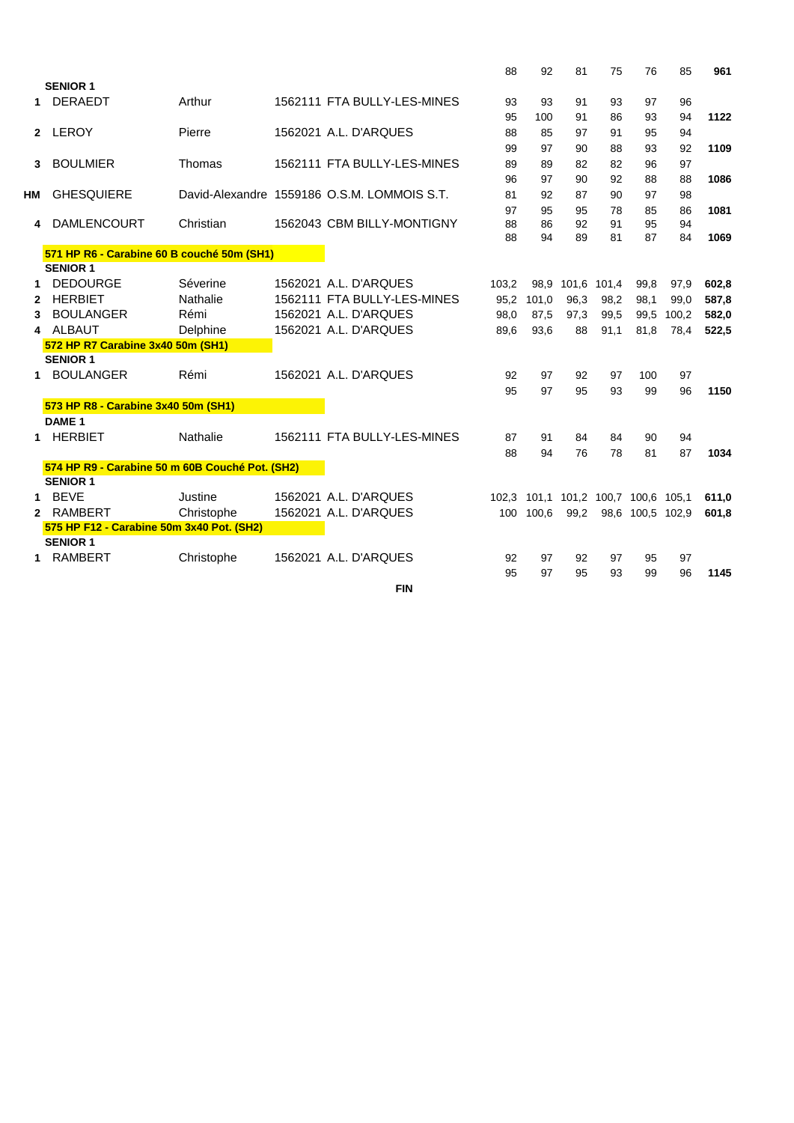|                |                                                 |            |                                             | 88    | 92        | 81                                  | 75   | 76               | 85    | 961   |
|----------------|-------------------------------------------------|------------|---------------------------------------------|-------|-----------|-------------------------------------|------|------------------|-------|-------|
|                | <b>SENIOR 1</b>                                 |            |                                             |       |           |                                     |      |                  |       |       |
| 1              | <b>DERAEDT</b>                                  | Arthur     | 1562111 FTA BULLY-LES-MINES                 | 93    | 93        | 91                                  | 93   | 97               | 96    |       |
|                |                                                 |            |                                             | 95    | 100       | 91                                  | 86   | 93               | 94    | 1122  |
|                | 2 LEROY                                         | Pierre     | 1562021 A.L. D'ARQUES                       | 88    | 85        | 97                                  | 91   | 95               | 94    |       |
|                |                                                 |            |                                             | 99    | 97        | 90                                  | 88   | 93               | 92    | 1109  |
| 3              | <b>BOULMIER</b>                                 | Thomas     | 1562111 FTA BULLY-LES-MINES                 | 89    | 89        | 82                                  | 82   | 96               | 97    |       |
|                |                                                 |            |                                             | 96    | 97        | 90                                  | 92   | 88               | 88    | 1086  |
| HМ             | <b>GHESQUIERE</b>                               |            | David-Alexandre 1559186 O.S.M. LOMMOIS S.T. | 81    | 92        | 87                                  | 90   | 97               | 98    |       |
|                |                                                 |            |                                             | 97    | 95        | 95                                  | 78   | 85               | 86    | 1081  |
| 4              | <b>DAMLENCOURT</b>                              | Christian  | 1562043 CBM BILLY-MONTIGNY                  | 88    | 86        | 92                                  | 91   | 95               | 94    |       |
|                |                                                 |            |                                             | 88    | 94        | 89                                  | 81   | 87               | 84    | 1069  |
|                | 571 HP R6 - Carabine 60 B couché 50m (SH1)      |            |                                             |       |           |                                     |      |                  |       |       |
|                | <b>SENIOR 1</b>                                 |            |                                             |       |           |                                     |      |                  |       |       |
| 1.             | <b>DEDOURGE</b>                                 | Séverine   | 1562021 A.L. D'ARQUES                       | 103.2 |           | 98.9 101.6 101.4                    |      | 99,8             | 97,9  | 602,8 |
| 2              | <b>HERBIET</b>                                  | Nathalie   | 1562111 FTA BULLY-LES-MINES                 | 95,2  | 101,0     | 96,3                                | 98,2 | 98,1             | 99,0  | 587,8 |
| 3              | <b>BOULANGER</b>                                | Rémi       | 1562021 A.L. D'ARQUES                       | 98,0  | 87,5      | 97,3                                | 99,5 | 99,5             | 100,2 | 582,0 |
| 4              | ALBAUT                                          | Delphine   | 1562021 A.L. D'ARQUES                       | 89,6  | 93,6      | 88                                  | 91,1 | 81,8             | 78,4  | 522,5 |
|                | 572 HP R7 Carabine 3x40 50m (SH1)               |            |                                             |       |           |                                     |      |                  |       |       |
|                | <b>SENIOR 1</b>                                 |            |                                             |       |           |                                     |      |                  |       |       |
| $\mathbf 1$    | <b>BOULANGER</b>                                | Rémi       | 1562021 A.L. D'ARQUES                       | 92    | 97        | 92                                  | 97   | 100              | 97    |       |
|                |                                                 |            |                                             | 95    | 97        | 95                                  | 93   | 99               | 96    | 1150  |
|                | 573 HP R8 - Carabine 3x40 50m (SH1)             |            |                                             |       |           |                                     |      |                  |       |       |
|                | DAME <sub>1</sub>                               |            |                                             |       |           |                                     |      |                  |       |       |
|                | 1 HERBIET                                       | Nathalie   | 1562111 FTA BULLY-LES-MINES                 | 87    | 91        | 84                                  | 84   | 90               | 94    |       |
|                |                                                 |            |                                             | 88    | 94        | 76                                  | 78   | 81               | 87    | 1034  |
|                | 574 HP R9 - Carabine 50 m 60B Couché Pot. (SH2) |            |                                             |       |           |                                     |      |                  |       |       |
|                | <b>SENIOR 1</b>                                 |            |                                             |       |           |                                     |      |                  |       |       |
| 1              | <b>BEVE</b>                                     | Justine    | 1562021 A.L. D'ARQUES                       |       |           | 102,3 101,1 101,2 100,7 100,6 105,1 |      |                  |       | 611,0 |
| $\overline{2}$ | RAMBERT                                         | Christophe | 1562021 A.L. D'ARQUES                       |       | 100 100,6 | 99,2                                |      | 98,6 100,5 102,9 |       | 601,8 |
|                | 575 HP F12 - Carabine 50m 3x40 Pot. (SH2)       |            |                                             |       |           |                                     |      |                  |       |       |
|                | <b>SENIOR 1</b>                                 |            |                                             |       |           |                                     |      |                  |       |       |
|                | <b>RAMBERT</b>                                  | Christophe | 1562021 A.L. D'ARQUES                       | 92    | 97        | 92                                  | 97   | 95               | 97    |       |
|                |                                                 |            |                                             | 95    | 97        | 95                                  | 93   | 99               | 96    | 1145  |
|                |                                                 |            |                                             |       |           |                                     |      |                  |       |       |

**FIN**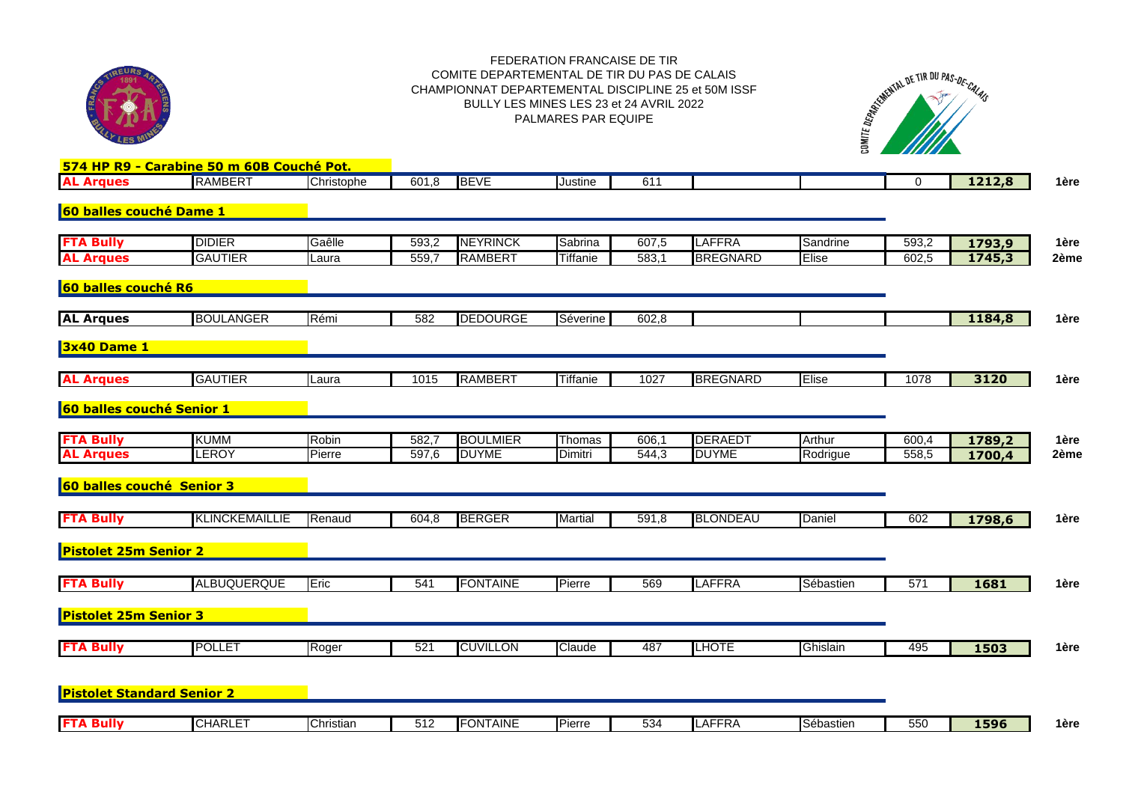

## FEDERATION FRANCAISE DE TIR COMITE DEPARTEMENTAL DE TIR DU PAS DE CALAIS CHAMPIONNAT DEPARTEMENTAL DISCIPLINE 25 et 50M ISSF BULLY LES MINES LES 23 et 24 AVRIL 2022 PALMARES PAR EQUIPE



| <b>AL Arques</b>                  | 574 HP R9 - Carabine 50 m 60B Couché Pot.<br>RAMBERT | Christophe | 601,8              | <b>BEVE</b>     | Justine         | 611   |                 |           | $\mathbf 0$ | 1212,8 | 1ère |
|-----------------------------------|------------------------------------------------------|------------|--------------------|-----------------|-----------------|-------|-----------------|-----------|-------------|--------|------|
|                                   |                                                      |            |                    |                 |                 |       |                 |           |             |        |      |
| 60 balles couché Dame 1           |                                                      |            |                    |                 |                 |       |                 |           |             |        |      |
|                                   |                                                      |            |                    |                 |                 |       |                 |           |             |        |      |
| <b>FTA Bully</b>                  | <b>DIDIER</b>                                        | Gaêlle     | 593,2              | <b>NEYRINCK</b> | Sabrina         | 607,5 | <b>LAFFRA</b>   | Sandrine  | 593,2       | 1793,9 | 1ère |
| <b>AL Arques</b>                  | <b>GAUTIER</b>                                       | Laura      | 559,7              | <b>RAMBERT</b>  | Tiffanie        | 583,1 | <b>BREGNARD</b> | Elise     | 602,5       | 1745,3 | 2ème |
|                                   |                                                      |            |                    |                 |                 |       |                 |           |             |        |      |
| 60 balles couché R6               |                                                      |            |                    |                 |                 |       |                 |           |             |        |      |
| <b>AL Arques</b>                  | <b>BOULANGER</b>                                     | Rémi       | 582                | <b>DEDOURGE</b> | Séverine        | 602,8 |                 |           |             |        | 1ère |
|                                   |                                                      |            |                    |                 |                 |       |                 |           |             | 1184,8 |      |
| 3x40 Dame 1                       |                                                      |            |                    |                 |                 |       |                 |           |             |        |      |
|                                   |                                                      |            |                    |                 |                 |       |                 |           |             |        |      |
| <b>AL Arques</b>                  | <b>GAUTIER</b>                                       | Laura      | 1015               | <b>RAMBERT</b>  | <b>Tiffanie</b> | 1027  | <b>BREGNARD</b> | Elise     | 1078        | 3120   | 1ère |
|                                   |                                                      |            |                    |                 |                 |       |                 |           |             |        |      |
| 60 balles couché Senior 1         |                                                      |            |                    |                 |                 |       |                 |           |             |        |      |
|                                   |                                                      |            |                    |                 |                 |       |                 |           |             |        |      |
| <b>FTA Bully</b>                  | <b>KUMM</b>                                          | Robin      | 582,7              | <b>BOULMIER</b> | Thomas          | 606,1 | <b>DERAEDT</b>  | Arthur    | 600,4       | 1789,2 | 1ère |
| <b>AL Arques</b>                  | LEROY                                                | Pierre     | $\overline{597,6}$ | <b>DUYME</b>    | Dimitri         | 544,3 | <b>DUYME</b>    | Rodrigue  | 558,5       | 1700,4 | 2ème |
|                                   |                                                      |            |                    |                 |                 |       |                 |           |             |        |      |
| 60 balles couché Senior 3         |                                                      |            |                    |                 |                 |       |                 |           |             |        |      |
|                                   |                                                      |            |                    |                 |                 |       |                 |           |             |        |      |
| <b>FTA Bully</b>                  | <b>KLINCKEMAILLIE</b>                                | Renaud     | 604,8              | <b>BERGER</b>   | <b>Martial</b>  | 591,8 | <b>BLONDEAU</b> | Daniel    | 602         | 1798,6 | 1ère |
|                                   |                                                      |            |                    |                 |                 |       |                 |           |             |        |      |
| <b>Pistolet 25m Senior 2</b>      |                                                      |            |                    |                 |                 |       |                 |           |             |        |      |
|                                   |                                                      |            |                    |                 |                 |       |                 |           |             |        |      |
| <b>FTA Bully</b>                  | <b>ALBUQUERQUE</b>                                   | Eric       | 541                | <b>FONTAINE</b> | Pierre          | 569   | <b>LAFFRA</b>   | Sébastien | 571         | 1681   | 1ère |
| <b>Pistolet 25m Senior 3</b>      |                                                      |            |                    |                 |                 |       |                 |           |             |        |      |
|                                   |                                                      |            |                    |                 |                 |       |                 |           |             |        |      |
| <b>FTA Bully</b>                  | <b>POLLET</b>                                        | Roger      | 521                | <b>CUVILLON</b> | Claude          | 487   | <b>LHOTE</b>    | Ghislain  | 495         | 1503   | 1ère |
|                                   |                                                      |            |                    |                 |                 |       |                 |           |             |        |      |
|                                   |                                                      |            |                    |                 |                 |       |                 |           |             |        |      |
| <b>Pistolet Standard Senior 2</b> |                                                      |            |                    |                 |                 |       |                 |           |             |        |      |
|                                   |                                                      |            |                    |                 |                 |       |                 |           |             |        |      |
| <b>FTA Bully</b>                  | <b>CHARLET</b>                                       | Christian  | 512                | <b>FONTAINE</b> | Pierre          | 534   | <b>LAFFRA</b>   | Sébastien | 550         | 1596   | 1ère |